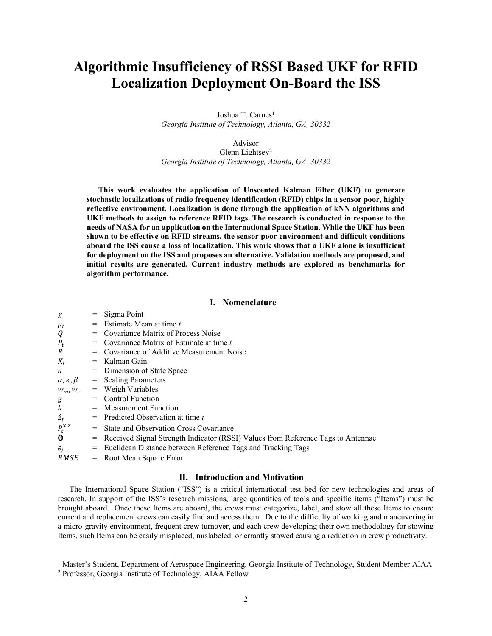# **Algorithmic Insufficiency of RSSI Based UKF for RFID Localization Deployment On-Board the ISS**

Joshua T. Carnes<sup>1</sup> *Georgia Institute of Technology, Atlanta, GA, 30332*

Advisor

Glenn Lightsey2 *Georgia Institute of Technology, Atlanta, GA, 30332*

**This work evaluates the application of Unscented Kalman Filter (UKF) to generate stochastic localizations of radio frequency identification (RFID) chips in a sensor poor, highly reflective environment. Localization is done through the application of kNN algorithms and UKF methods to assign to reference RFID tags. The research is conducted in response to the needs of NASA for an application on the International Space Station. While the UKF has been shown to be effective on RFID streams, the sensor poor environment and difficult conditions aboard the ISS cause a loss of localization. This work shows that a UKF alone is insufficient for deployment on the ISS and proposes an alternative. Validation methods are proposed, and initial results are generated. Current industry methods are explored as benchmarks for algorithm performance.**

# **I. Nomenclature**

| $\chi$                        |     | Sigma Point                                                                          |
|-------------------------------|-----|--------------------------------------------------------------------------------------|
| $\mu_t$                       |     | $=$ Estimate Mean at time t                                                          |
| Q                             |     | Covariance Matrix of Process Noise                                                   |
| $P_t$                         |     | $=$ Covariance Matrix of Estimate at time t                                          |
| $\boldsymbol{R}$              |     | $=$ Covariance of Additive Measurement Noise                                         |
| $K_t$                         | $=$ | Kalman Gain                                                                          |
| $\boldsymbol{n}$              |     | $=$ Dimension of State Space                                                         |
| $\alpha$ , $\kappa$ , $\beta$ |     | $=$ Scaling Parameters                                                               |
| $W_m, W_c$                    |     | $=$ Weigh Variables                                                                  |
| g                             |     | $=$ Control Function                                                                 |
| $\boldsymbol{h}$              |     | = Measurement Function                                                               |
|                               |     | $=$ Predicted Observation at time t                                                  |
| $\frac{\hat{z}_t}{P_t^{x,z}}$ |     | $=$ State and Observation Cross Covariance                                           |
| $\boldsymbol{\Theta}$         |     | $=$ Received Signal Strength Indicator (RSSI) Values from Reference Tags to Antennae |
| $e_i$                         | $=$ | Euclidean Distance between Reference Tags and Tracking Tags                          |
| <i>RMSE</i>                   |     | $=$ Root Mean Square Error                                                           |

# **II. Introduction and Motivation**

The International Space Station ("ISS") is a critical international test bed for new technologies and areas of research. In support of the ISS's research missions, large quantities of tools and specific items ("Items") must be brought aboard. Once these Items are aboard, the crews must categorize, label, and stow all these Items to ensure current and replacement crews can easily find and access them. Due to the difficulty of working and maneuvering in a micro-gravity environment, frequent crew turnover, and each crew developing their own methodology for stowing Items, such Items can be easily misplaced, mislabeled, or errantly stowed causing a reduction in crew productivity.

<sup>&</sup>lt;sup>1</sup> Master's Student, Department of Aerospace Engineering, Georgia Institute of Technology, Student Member AIAA

<sup>2</sup> Professor, Georgia Institute of Technology, AIAA Fellow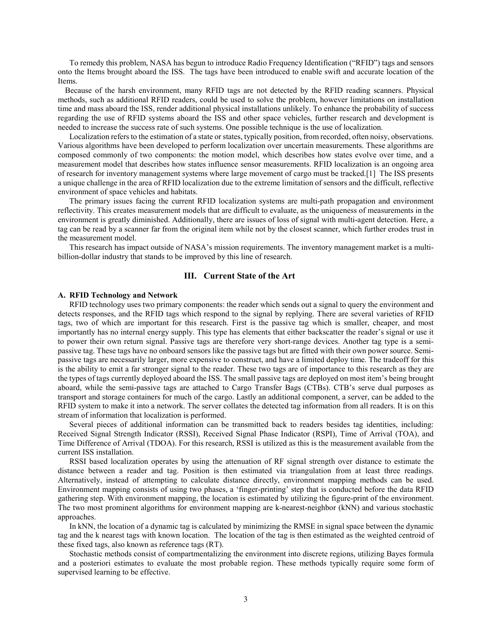To remedy this problem, NASA has begun to introduce Radio Frequency Identification ("RFID") tags and sensors onto the Items brought aboard the ISS. The tags have been introduced to enable swift and accurate location of the Items.

Because of the harsh environment, many RFID tags are not detected by the RFID reading scanners. Physical methods, such as additional RFID readers, could be used to solve the problem, however limitations on installation time and mass aboard the ISS, render additional physical installations unlikely. To enhance the probability of success regarding the use of RFID systems aboard the ISS and other space vehicles, further research and development is needed to increase the success rate of such systems. One possible technique is the use of localization.

Localization refers to the estimation of a state or states, typically position, from recorded, often noisy, observations. Various algorithms have been developed to perform localization over uncertain measurements. These algorithms are composed commonly of two components: the motion model, which describes how states evolve over time, and a measurement model that describes how states influence sensor measurements. RFID localization is an ongoing area of research for inventory management systems where large movement of cargo must be tracked.[1] The ISS presents a unique challenge in the area of RFID localization due to the extreme limitation of sensors and the difficult, reflective environment of space vehicles and habitats.

The primary issues facing the current RFID localization systems are multi-path propagation and environment reflectivity. This creates measurement models that are difficult to evaluate, as the uniqueness of measurements in the environment is greatly diminished. Additionally, there are issues of loss of signal with multi-agent detection. Here, a tag can be read by a scanner far from the original item while not by the closest scanner, which further erodes trust in the measurement model.

This research has impact outside of NASA's mission requirements. The inventory management market is a multibillion-dollar industry that stands to be improved by this line of research.

# **III. Current State of the Art**

## **A. RFID Technology and Network**

RFID technology uses two primary components: the reader which sends out a signal to query the environment and detects responses, and the RFID tags which respond to the signal by replying. There are several varieties of RFID tags, two of which are important for this research. First is the passive tag which is smaller, cheaper, and most importantly has no internal energy supply. This type has elements that either backscatter the reader's signal or use it to power their own return signal. Passive tags are therefore very short-range devices. Another tag type is a semipassive tag. These tags have no onboard sensors like the passive tags but are fitted with their own power source. Semipassive tags are necessarily larger, more expensive to construct, and have a limited deploy time. The tradeoff for this is the ability to emit a far stronger signal to the reader. These two tags are of importance to this research as they are the types of tags currently deployed aboard the ISS. The small passive tags are deployed on most item's being brought aboard, while the semi-passive tags are attached to Cargo Transfer Bags (CTBs). CTB's serve dual purposes as transport and storage containers for much of the cargo. Lastly an additional component, a server, can be added to the RFID system to make it into a network. The server collates the detected tag information from all readers. It is on this stream of information that localization is performed.

Several pieces of additional information can be transmitted back to readers besides tag identities, including: Received Signal Strength Indicator (RSSI), Received Signal Phase Indicator (RSPI), Time of Arrival (TOA), and Time Difference of Arrival (TDOA). For this research, RSSI is utilized as this is the measurement available from the current ISS installation.

RSSI based localization operates by using the attenuation of RF signal strength over distance to estimate the distance between a reader and tag. Position is then estimated via triangulation from at least three readings. Alternatively, instead of attempting to calculate distance directly, environment mapping methods can be used. Environment mapping consists of using two phases, a 'finger-printing' step that is conducted before the data RFID gathering step. With environment mapping, the location is estimated by utilizing the figure-print of the environment. The two most prominent algorithms for environment mapping are k-nearest-neighbor (kNN) and various stochastic approaches.

In kNN, the location of a dynamic tag is calculated by minimizing the RMSE in signal space between the dynamic tag and the k nearest tags with known location. The location of the tag is then estimated as the weighted centroid of these fixed tags, also known as reference tags (RT).

Stochastic methods consist of compartmentalizing the environment into discrete regions, utilizing Bayes formula and a posteriori estimates to evaluate the most probable region. These methods typically require some form of supervised learning to be effective.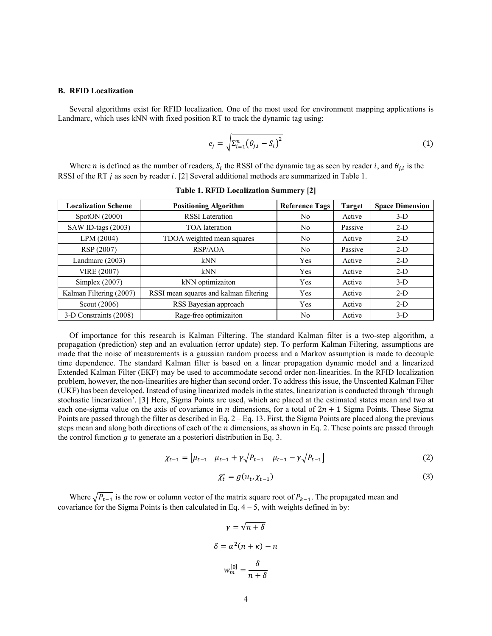#### **B. RFID Localization**

Several algorithms exist for RFID localization. One of the most used for environment mapping applications is Landmarc, which uses kNN with fixed position RT to track the dynamic tag using:

$$
e_j = \sqrt{\sum_{i=1}^n (\theta_{j,i} - S_i)^2}
$$
 (1)

Where *n* is defined as the number of readers,  $S_i$  the RSSI of the dynamic tag as seen by reader *i*, and  $\theta_{i,i}$  is the RSSI of the RT  $j$  as seen by reader  $i$ . [2] Several additional methods are summarized in Table 1.

| <b>Localization Scheme</b> | <b>Positioning Algorithm</b>           | <b>Reference Tags</b> | <b>Target</b> | <b>Space Dimension</b> |
|----------------------------|----------------------------------------|-----------------------|---------------|------------------------|
| SpotON(2000)               | <b>RSSI</b> Lateration                 | N <sub>0</sub>        | Active        | $3-D$                  |
| SAW ID-tags (2003)         | <b>TOA</b> lateration                  | No.                   | Passive       | $2-D$                  |
| LPM (2004)                 | TDOA weighted mean squares             | No.                   | Active        | $2-D$                  |
| RSP (2007)                 | RSP/AOA                                | No                    | Passive       | $2-D$                  |
| Landmarc (2003)            | kNN                                    | <b>Yes</b>            | Active        | $2-D$                  |
| <b>VIRE (2007)</b>         | kNN                                    | Yes                   | Active        | $2-D$                  |
| Simplex $(2007)$           | kNN optimizaiton                       | Yes                   | Active        | $3-D$                  |
| Kalman Filtering (2007)    | RSSI mean squares and kalman filtering | Yes                   | Active        | $2-D$                  |
| Scout (2006)               | RSS Bayesian approach                  | Yes                   | Active        | $2-D$                  |
| 3-D Constraints (2008)     | Rage-free optimizaiton                 | No                    | Active        | $3-D$                  |

**Table 1. RFID Localization Summery [2]**

Of importance for this research is Kalman Filtering. The standard Kalman filter is a two-step algorithm, a propagation (prediction) step and an evaluation (error update) step. To perform Kalman Filtering, assumptions are made that the noise of measurements is a gaussian random process and a Markov assumption is made to decouple time dependence. The standard Kalman filter is based on a linear propagation dynamic model and a linearized Extended Kalman Filter (EKF) may be used to accommodate second order non-linearities. In the RFID localization problem, however, the non-linearities are higher than second order. To address this issue, the Unscented Kalman Filter (UKF) has been developed. Instead of using linearized models in the states, linearization is conducted through 'through stochastic linearization'. [3] Here, Sigma Points are used, which are placed at the estimated states mean and two at each one-sigma value on the axis of covariance in *n* dimensions, for a total of  $2n + 1$  Sigma Points. These Sigma Points are passed through the filter as described in Eq. 2 – Eq. 13. First, the Sigma Points are placed along the previous steps mean and along both directions of each of the  $n$  dimensions, as shown in Eq. 2. These points are passed through the control function  $g$  to generate an a posteriori distribution in Eq. 3.

$$
\chi_{t-1} = \begin{bmatrix} \mu_{t-1} & \mu_{t-1} + \gamma \sqrt{P_{t-1}} & \mu_{t-1} - \gamma \sqrt{P_{t-1}} \end{bmatrix}
$$
 (2)

$$
\bar{\chi}_t^* = g(u_t, \chi_{t-1}) \tag{3}
$$

Where  $\sqrt{P_{t-1}}$  is the row or column vector of the matrix square root of  $P_{k-1}$ . The propagated mean and covariance for the Sigma Points is then calculated in Eq.  $4 - 5$ , with weights defined in by:

> $v = \sqrt{n + \delta}$  $\delta = \alpha^2 (n + \kappa) - n$  $w_m^{[0]} = \frac{\delta}{n+\delta}$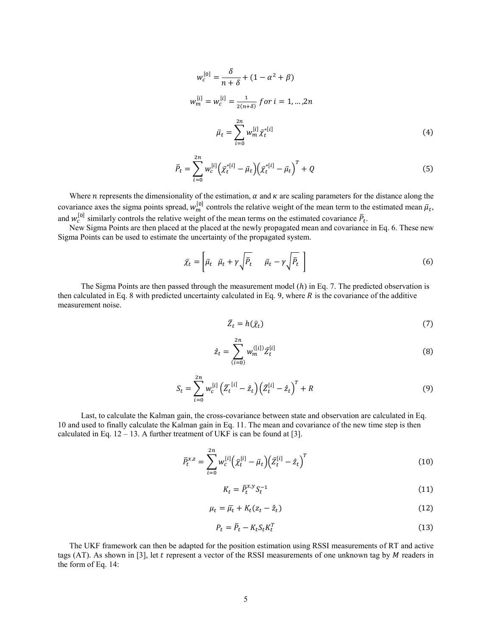$$
w_c^{[0]} = \frac{\delta}{n+\delta} + (1 - \alpha^2 + \beta)
$$
  
\n
$$
w_m^{[i]} = w_c^{[i]} = \frac{1}{2(n+\delta)} \text{ for } i = 1, ..., 2n
$$
  
\n
$$
\bar{\mu}_t = \sum_{i=0}^{2n} w_m^{[i]} \bar{\chi}_t^{*[i]}
$$
\n(4)

$$
\bar{P}_t = \sum_{i=0}^{2n} w_c^{[i]} \left( \bar{\chi}_t^{*[i]} - \bar{\mu}_t \right) \left( \bar{\chi}_t^{*[i]} - \bar{\mu}_t \right)^T + Q \tag{5}
$$

Where *n* represents the dimensionality of the estimation,  $\alpha$  and  $\kappa$  are scaling parameters for the distance along the covariance axes the sigma points spread,  $w_m^{[0]}$  controls the relative weight of the mean term to the estimated mean  $\bar{\mu}_t$ , and  $w_c^{[0]}$  similarly controls the relative weight of the mean terms on the estimated covariance  $\bar{P}_t$ .

New Sigma Points are then placed at the placed at the newly propagated mean and covariance in Eq. 6. These new Sigma Points can be used to estimate the uncertainty of the propagated system.

$$
\bar{\chi}_t = \left[ \bar{\mu}_t \quad \bar{\mu}_t + \gamma \sqrt{\bar{P}_t} \quad \bar{\mu}_t - \gamma \sqrt{\bar{P}_t} \right]
$$
\n
$$
\tag{6}
$$

The Sigma Points are then passed through the measurement model  $(h)$  in Eq. 7. The predicted observation is then calculated in Eq. 8 with predicted uncertainty calculated in Eq. 9, where  $R$  is the covariance of the additive measurement noise.

$$
\bar{Z}_t = h(\bar{\chi}_t) \tag{7}
$$

$$
\hat{z}_t = \sum_{(i=0)}^{2n} w_m^{([i])} \bar{Z}_t^{[i]}
$$
 (8)

$$
S_t = \sum_{i=0}^{2n} w_c^{[i]} \left( \bar{Z}_t^{[i]} - \hat{z}_t \right) \left( \bar{Z}_t^{[i]} - \hat{z}_t \right)^T + R \tag{9}
$$

Last, to calculate the Kalman gain, the cross-covariance between state and observation are calculated in Eq. 10 and used to finally calculate the Kalman gain in Eq. 11. The mean and covariance of the new time step is then calculated in Eq.  $12 - 13$ . A further treatment of UKF is can be found at [3].

$$
\bar{P}_t^{x,z} = \sum_{i=0}^{2n} w_c^{[i]} \left(\bar{x}_t^{[i]} - \bar{\mu}_t\right) \left(\bar{Z}_t^{[i]} - \hat{z}_t\right)^T \tag{10}
$$

$$
K_t = \bar{P}_t^{x,y} S_t^{-1} \tag{11}
$$

$$
\mu_t = \overline{\mu}_t + K_t (z_t - \hat{z}_t) \tag{12}
$$

$$
P_t = \bar{P}_t - K_t S_t K_t^T \tag{13}
$$

The UKF framework can then be adapted for the position estimation using RSSI measurements of RT and active tags (AT). As shown in [3], let  $t$  represent a vector of the RSSI measurements of one unknown tag by  $M$  readers in the form of Eq. 14: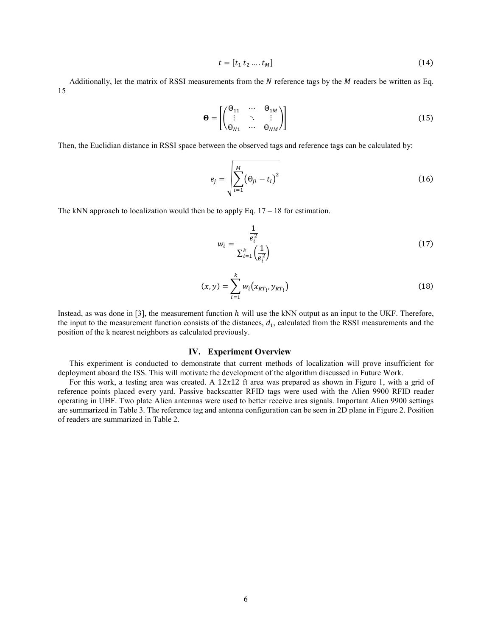$$
t = [t_1 \, t_2 \dots t_M] \tag{14}
$$

Additionally, let the matrix of RSSI measurements from the  $N$  reference tags by the  $M$  readers be written as Eq. 15

$$
\mathbf{\Theta} = \begin{bmatrix} \begin{pmatrix} \Theta_{11} & \cdots & \Theta_{1M} \\ \vdots & \ddots & \vdots \\ \Theta_{N1} & \cdots & \Theta_{NM} \end{pmatrix} \end{bmatrix}
$$
 (15)

Then, the Euclidian distance in RSSI space between the observed tags and reference tags can be calculated by:

$$
e_j = \sqrt{\sum_{i=1}^{M} (\Theta_{ji} - t_i)^2}
$$
 (16)

The kNN approach to localization would then be to apply Eq.  $17 - 18$  for estimation.

$$
w_i = \frac{\frac{1}{e_i^2}}{\sum_{i=1}^k \left(\frac{1}{e_i^2}\right)}
$$
(17)

$$
(x, y) = \sum_{i=1}^{k} w_i (x_{RT_i}, y_{RT_i})
$$
\n(18)

Instead, as was done in [3], the measurement function  $h$  will use the kNN output as an input to the UKF. Therefore, the input to the measurement function consists of the distances,  $d_i$ , calculated from the RSSI measurements and the position of the k nearest neighbors as calculated previously.

### **IV. Experiment Overview**

This experiment is conducted to demonstrate that current methods of localization will prove insufficient for deployment aboard the ISS. This will motivate the development of the algorithm discussed in Future Work.

For this work, a testing area was created. A  $12x12$  ft area was prepared as shown in Figure 1, with a grid of reference points placed every yard. Passive backscatter RFID tags were used with the Alien 9900 RFID reader operating in UHF. Two plate Alien antennas were used to better receive area signals. Important Alien 9900 settings are summarized in Table 3. The reference tag and antenna configuration can be seen in 2D plane in Figure 2. Position of readers are summarized in Table 2.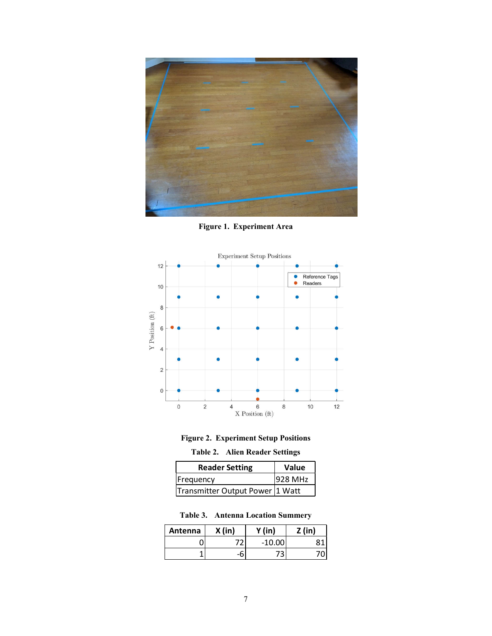

**Figure 1. Experiment Area**





| <b>Reader Setting</b>           | Value   |
|---------------------------------|---------|
| Frequency                       | 928 MHz |
| Transmitter Output Power 1 Watt |         |

**Table 3. Antenna Location Summery**

| Antenna | X(in) | Y(in)    | Z (in) |
|---------|-------|----------|--------|
|         |       | $-10.00$ |        |
|         | ס-    | נ ו      |        |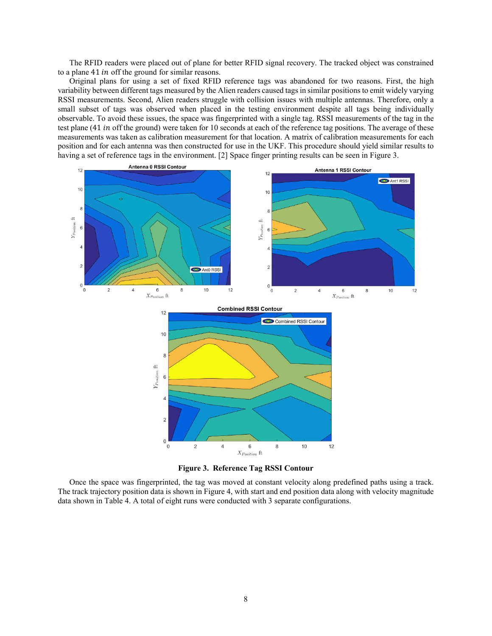The RFID readers were placed out of plane for better RFID signal recovery. The tracked object was constrained to a plane  $41$  in off the ground for similar reasons.

Original plans for using a set of fixed RFID reference tags was abandoned for two reasons. First, the high variability between different tags measured by the Alien readers caused tags in similar positions to emit widely varying RSSI measurements. Second, Alien readers struggle with collision issues with multiple antennas. Therefore, only a small subset of tags was observed when placed in the testing environment despite all tags being individually observable. To avoid these issues, the space was fingerprinted with a single tag. RSSI measurements of the tag in the test plane (41 in off the ground) were taken for 10 seconds at each of the reference tag positions. The average of these measurements was taken as calibration measurement for that location. A matrix of calibration measurements for each position and for each antenna was then constructed for use in the UKF. This procedure should yield similar results to having a set of reference tags in the environment. [2] Space finger printing results can be seen in Figure 3.



**Figure 3. Reference Tag RSSI Contour**

Once the space was fingerprinted, the tag was moved at constant velocity along predefined paths using a track. The track trajectory position data is shown in Figure 4, with start and end position data along with velocity magnitude data shown in Table 4. A total of eight runs were conducted with 3 separate configurations.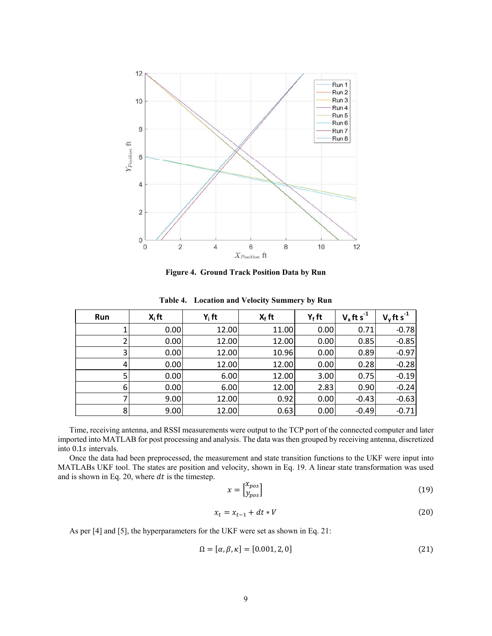

**Figure 4. Ground Track Position Data by Run**

| Run | $X_i$ ft | $Y_i$ ft | $X_f$ ft | $Y_f$ ft | $V_x$ ft s <sup>-1</sup> | $V_v$ ft s <sup>-1</sup> |
|-----|----------|----------|----------|----------|--------------------------|--------------------------|
|     | 0.00     | 12.00    | 11.00    | 0.00     | 0.71                     | $-0.78$                  |
| 2   | 0.00     | 12.00    | 12.00    | 0.00     | 0.85                     | $-0.85$                  |
| 3   | 0.00     | 12.00    | 10.96    | 0.00     | 0.89                     | $-0.97$                  |
| 4   | 0.00     | 12.00    | 12.00    | 0.00     | 0.28                     | $-0.28$                  |
| 5   | 0.00     | 6.00     | 12.00    | 3.00     | 0.75                     | $-0.19$                  |
| 6   | 0.00     | 6.00     | 12.00    | 2.83     | 0.90                     | $-0.24$                  |
|     | 9.00     | 12.00    | 0.92     | 0.00     | $-0.43$                  | $-0.63$                  |
| 8   | 9.00     | 12.00    | 0.63     | 0.00     | $-0.49$                  | $-0.71$                  |

**Table 4. Location and Velocity Summery by Run**

Time, receiving antenna, and RSSI measurements were output to the TCP port of the connected computer and later imported into MATLAB for post processing and analysis. The data was then grouped by receiving antenna, discretized into 0.1s intervals.

Once the data had been preprocessed, the measurement and state transition functions to the UKF were input into MATLABs UKF tool. The states are position and velocity, shown in Eq. 19. A linear state transformation was used and is shown in Eq. 20, where  $dt$  is the timestep.

$$
x = \begin{bmatrix} x_{pos} \\ y_{pos} \end{bmatrix} \tag{19}
$$

$$
x_t = x_{t-1} + dt * V \tag{20}
$$

As per [4] and [5], the hyperparameters for the UKF were set as shown in Eq. 21:

$$
\Omega = [\alpha, \beta, \kappa] = [0.001, 2, 0] \tag{21}
$$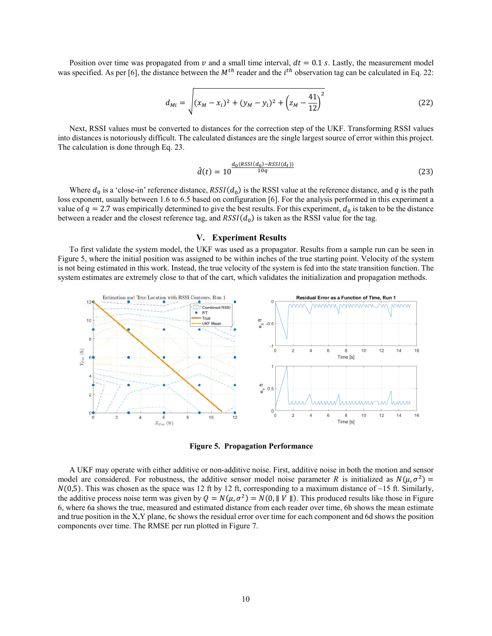Position over time was propagated from v and a small time interval,  $dt = 0.1$  s. Lastly, the measurement model was specified. As per [6], the distance between the  $M^{th}$  reader and the  $i^{th}$  observation tag can be calculated in Eq. 22:

$$
d_{Mi} = \sqrt{(x_M - x_i)^2 + (y_M - y_i)^2 + \left(z_M - \frac{41}{12}\right)^2}
$$
 (22)

Next, RSSI values must be converted to distances for the correction step of the UKF. Transforming RSSI values into distances is notoriously difficult. The calculated distances are the single largest source of error within this project. The calculation is done through Eq. 23.

$$
\hat{d}(t) = 10^{\frac{d_0(RSSI(d_0) - RSSI(d_t))}{10q}}
$$
\n(23)

Where  $d_0$  is a 'close-in' reference distance,  $RSSI(d_0)$  is the RSSI value at the reference distance, and  $q$  is the path loss exponent, usually between 1.6 to 6.5 based on configuration [6]. For the analysis performed in this experiment a value of  $q = 2.7$  was empirically determined to give the best results. For this experiment,  $d_0$  is taken to be the distance between a reader and the closest reference tag, and  $RSSI(d_0)$  is taken as the RSSI value for the tag.

# **V. Experiment Results**

To first validate the system model, the UKF was used as a propagator. Results from a sample run can be seen in Figure 5, where the initial position was assigned to be within inches of the true starting point. Velocity of the system is not being estimated in this work. Instead, the true velocity of the system is fed into the state transition function. The system estimates are extremely close to that of the cart, which validates the initialization and propagation methods.



**Figure 5. Propagation Performance**

A UKF may operate with either additive or non-additive noise. First, additive noise in both the motion and sensor model are considered. For robustness, the additive sensor model noise parameter R is initialized as  $N(\mu, \sigma^2)$  =  $N(0,5)$ . This was chosen as the space was 12 ft by 12 ft, corresponding to a maximum distance of ~15 ft. Similarly, the additive process noise term was given by  $Q = N(\mu, \sigma^2) = N(0, ||V||)$ . This produced results like those in Figure 6, where 6a shows the true, measured and estimated distance from each reader over time, 6b shows the mean estimate and true position in the X,Y plane, 6c shows the residual error over time for each component and 6d shows the position components over time. The RMSE per run plotted in Figure 7.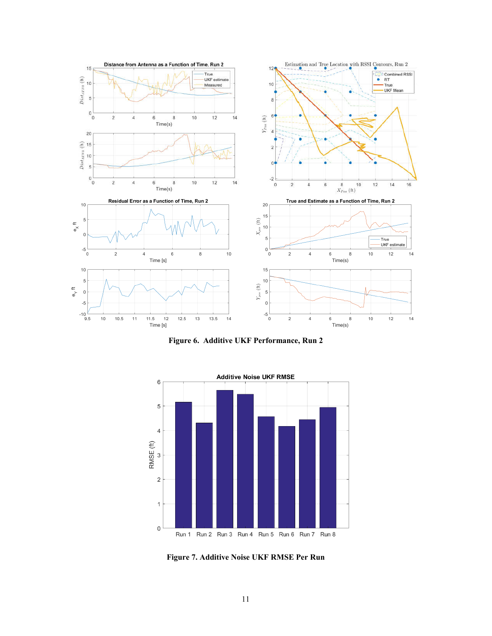

**Figure 6. Additive UKF Performance, Run 2**



**Figure 7. Additive Noise UKF RMSE Per Run**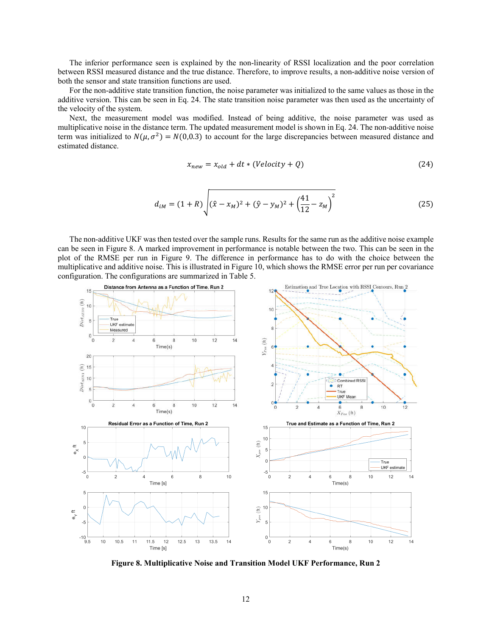The inferior performance seen is explained by the non-linearity of RSSI localization and the poor correlation between RSSI measured distance and the true distance. Therefore, to improve results, a non-additive noise version of both the sensor and state transition functions are used.

For the non-additive state transition function, the noise parameter was initialized to the same values as those in the additive version. This can be seen in Eq. 24. The state transition noise parameter was then used as the uncertainty of the velocity of the system.

Next, the measurement model was modified. Instead of being additive, the noise parameter was used as multiplicative noise in the distance term. The updated measurement model is shown in Eq. 24. The non-additive noise term was initialized to  $N(\mu, \sigma^2) = N(0, 0.3)$  to account for the large discrepancies between measured distance and estimated distance.

$$
x_{new} = x_{old} + dt * (Velocity + Q)
$$
\n(24)

$$
d_{iM} = (1+R)\sqrt{(\hat{x} - x_M)^2 + (\hat{y} - y_M)^2 + \left(\frac{41}{12} - z_M\right)^2}
$$
 (25)

The non-additive UKF was then tested over the sample runs. Results for the same run as the additive noise example can be seen in Figure 8. A marked improvement in performance is notable between the two. This can be seen in the plot of the RMSE per run in Figure 9. The difference in performance has to do with the choice between the multiplicative and additive noise. This is illustrated in Figure 10, which shows the RMSE error per run per covariance configuration. The configurations are summarized in Table 5.



**Figure 8. Multiplicative Noise and Transition Model UKF Performance, Run 2**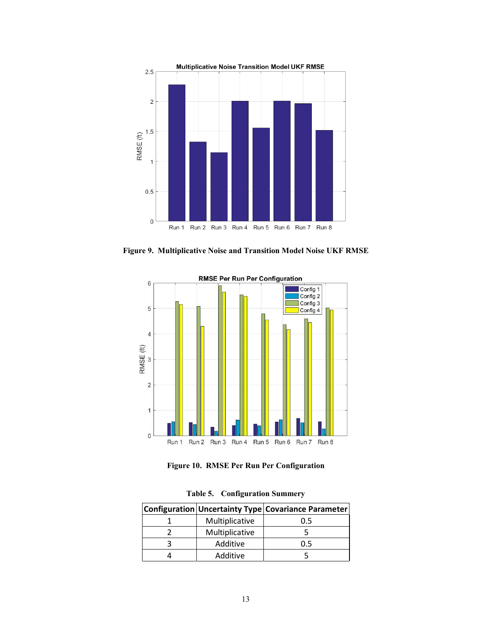

**Figure 9. Multiplicative Noise and Transition Model Noise UKF RMSE**



**Figure 10. RMSE Per Run Per Configuration**

|                | Configuration   Uncertainty Type   Covariance Parameter |  |  |
|----------------|---------------------------------------------------------|--|--|
| Multiplicative | 0.5                                                     |  |  |
| Multiplicative |                                                         |  |  |
| Additive       | 0.5                                                     |  |  |
| Additive       |                                                         |  |  |

**Table 5. Configuration Summery**